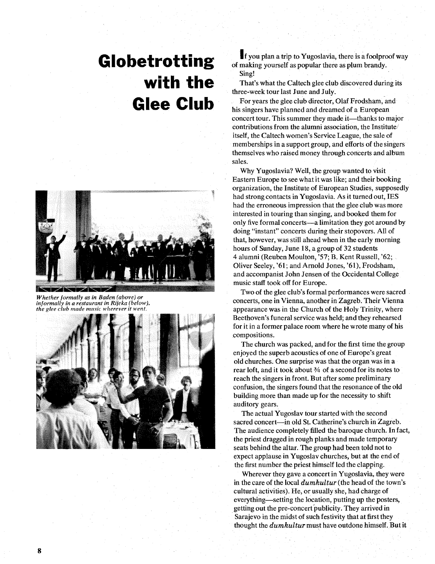## **Globetrotting with the Glee Club**



*Whether formally as in Baden (above) or informally in a restaurant in Rijeka (below), the glee club made music wherever it went.* 



If you plan a trip to Yugoslavia, there is a foolproof way of making yourself as popular there **as** plum brandy. Sing!

That's what the Caltech glee club discovered during its three-week tour last June and July.

For years the glee club director, Olaf Frodsham, and his singers have planned and dreamed of a European concert tour. This summer they made it—thanks to major contributions from the alumni association, the Institute $\lambda$ itself, the Caltech women's Service League, the sale of memberships in a support group, and efforts of the singers themselves who raised money through concerts and album sales.

Why Yugoslavia? Well, the group wanted to visit Eastern Europe to see what it was like; and their booking organization, the Institute of European Studies, supposedly had strong contacts in Yugoslavia. As it turned out, IES had the erroneous impression that the glee club was more interested in touring than singing, and booked them for only five formal concerts-a limitation they got around by doing "instant" concerts during their stopovers. All of that, however, was still ahead when in the early morning hours of Sunday, June 18, a group of 32 students 4 alumni (Reuben Moulton, '57; B. Kent Russell, '62; Oliver Seeley, '61; and Arnold Jones, '61), Frodsham, and accompanist John Jensen of the Occidental College music staff took off for Europe.

Two of the glee club's formal performances were sacred concerts, one in Vienna, another in Zagreb. Their Vienna appearance was in the Church of the Holy Trinity, where Beethoven's funeral service was held; and they rehearsed for it in a former palace room where he wrote many of his compositions.

The church was packed, and for the first time the group enjoyed the superb acoustics of one of Europe's great old churches. One surprise was that the organ was in a rear loft, and it took about ?4 of a second for its notes to reach the singers in front. But after some preliminary confusion, the singers found that the resonance of the old building more than made up for the necessity to shift auditory gears.

The actual Yugoslav tour started with the second sacred concert-in old St. Catherine's church in Zagreb. The audience completely filled the baroque church. In fact, the priest dragged in rough planks and made temporary seats behind the altar. The group had been told not to expect applause in Yugoslav churches, but at the end of the first number the priest himself led the clapping.

Wherever they gave a concert in Yugoslavia, they were in the care of the local *dumkultur* (the head of the town's cultural activities). He, or usually she, had charge of everything—setting the location, putting up the posters, getting out the pre-concert publicity. They arrived in Sarajevo in the midst of such festivity that at first they thought the *dumkultur* must have outdone himself. But it